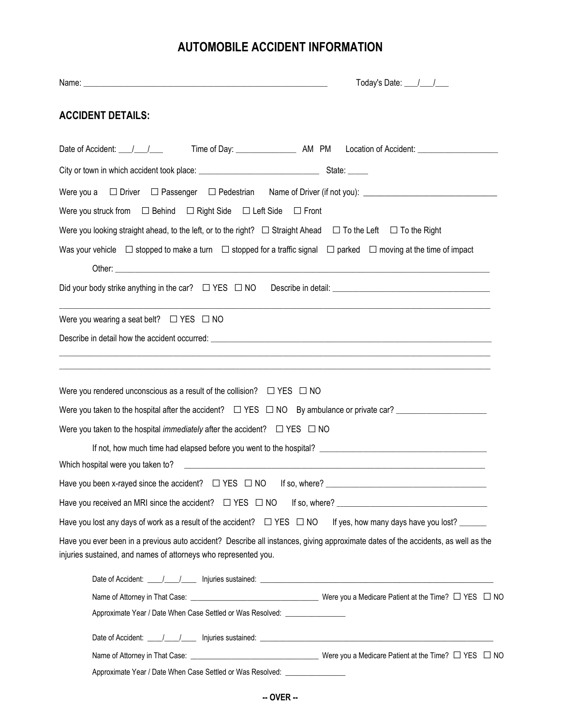## **AUTOMOBILE ACCIDENT INFORMATION**

| <b>ACCIDENT DETAILS:</b>                                                                  |                                                                                                                                                                                                                                |
|-------------------------------------------------------------------------------------------|--------------------------------------------------------------------------------------------------------------------------------------------------------------------------------------------------------------------------------|
|                                                                                           |                                                                                                                                                                                                                                |
|                                                                                           |                                                                                                                                                                                                                                |
|                                                                                           |                                                                                                                                                                                                                                |
| Were you struck from $\Box$ Behind $\Box$ Right Side $\Box$ Left Side $\Box$ Front        |                                                                                                                                                                                                                                |
|                                                                                           | Were you looking straight ahead, to the left, or to the right? $\Box$ Straight Ahead $\Box$ To the Left $\Box$ To the Right                                                                                                    |
|                                                                                           | Was your vehicle $\Box$ stopped to make a turn $\Box$ stopped for a traffic signal $\Box$ parked $\Box$ moving at the time of impact                                                                                           |
|                                                                                           | Did your body strike anything in the car? $\Box$ YES $\Box$ NO Describe in detail: $\Box$ Describe in detail:                                                                                                                  |
| Were you wearing a seat belt? $\Box$ YES $\Box$ NO                                        |                                                                                                                                                                                                                                |
|                                                                                           | Describe in detail how the accident occurred: example and a state of the state of the state of the state of the state of the state of the state of the state of the state of the state of the state of the state of the state  |
| Were you rendered unconscious as a result of the collision? $\Box$ YES $\Box$ NO          |                                                                                                                                                                                                                                |
| Were you taken to the hospital immediately after the accident? $\square$ YES $\square$ NO |                                                                                                                                                                                                                                |
|                                                                                           |                                                                                                                                                                                                                                |
| Have you been x-rayed since the accident? $\Box$ YES $\Box$ NO                            | If so, where?                                                                                                                                                                                                                  |
|                                                                                           |                                                                                                                                                                                                                                |
| Have you lost any days of work as a result of the accident? $\Box$ YES $\Box$ NO          | If yes, how many days have you lost?                                                                                                                                                                                           |
| injuries sustained, and names of attorneys who represented you.                           | Have you ever been in a previous auto accident? Describe all instances, giving approximate dates of the accidents, as well as the                                                                                              |
|                                                                                           | Date of Accident: \builty \builty \builty \builty \builty \builty \builty \builty \builty \builty \builty \builty \builty \builty \builty \builty \builty \builty \builty \builty \builty \builty \builty \builty \builty \bui |
|                                                                                           |                                                                                                                                                                                                                                |
| Approximate Year / Date When Case Settled or Was Resolved: _____________________          |                                                                                                                                                                                                                                |
|                                                                                           |                                                                                                                                                                                                                                |
|                                                                                           |                                                                                                                                                                                                                                |
|                                                                                           | Approximate Year / Date When Case Settled or Was Resolved: ____________________                                                                                                                                                |